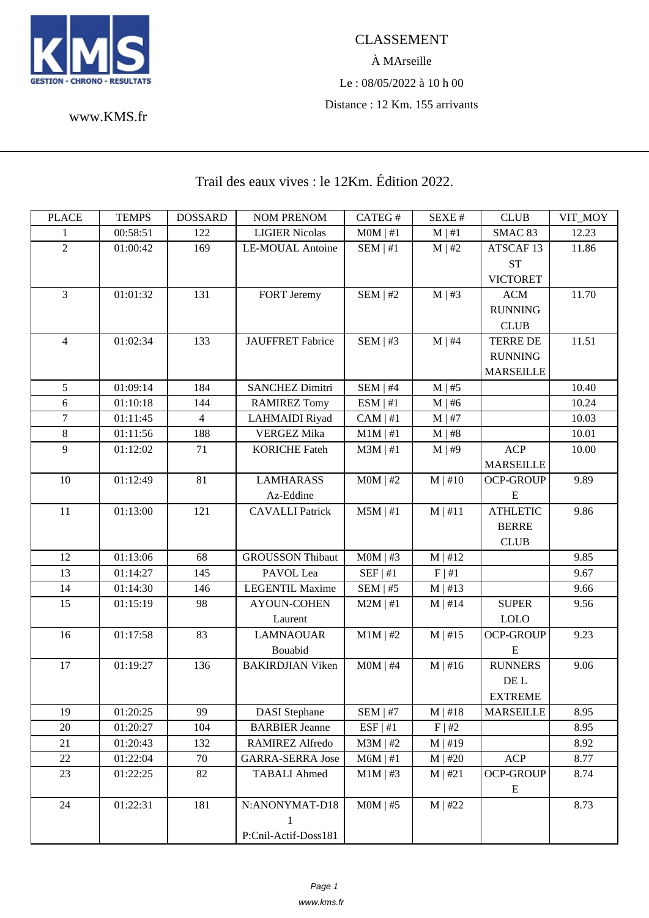

À MArseille Le : 08/05/2022 à 10 h 00 Distance : 12 Km. 155 arrivants

www.KMS.fr

## Trail des eaux vives : le 12Km. Édition 2022.

| <b>PLACE</b>   | <b>TEMPS</b> | <b>DOSSARD</b> | <b>NOM PRENOM</b>       | CATEG#        | SEXE#        | <b>CLUB</b>          | VIT MOY |
|----------------|--------------|----------------|-------------------------|---------------|--------------|----------------------|---------|
| 1              | 00:58:51     | 122            | <b>LIGIER Nicolas</b>   | $MOM$   #1    | $M \mid #1$  | SMAC 83              | 12.23   |
| $\overline{2}$ | 01:00:42     | 169            | <b>LE-MOUAL Antoine</b> | $SEM$   #1    | $M \mid #2$  | ATSCAF <sub>13</sub> | 11.86   |
|                |              |                |                         |               |              | <b>ST</b>            |         |
|                |              |                |                         |               |              | <b>VICTORET</b>      |         |
| $\overline{3}$ | 01:01:32     | 131            | FORT Jeremy             | $SEM$   #2    | $M \mid #3$  | <b>ACM</b>           | 11.70   |
|                |              |                |                         |               |              | <b>RUNNING</b>       |         |
|                |              |                |                         |               |              | <b>CLUB</b>          |         |
| $\overline{4}$ | 01:02:34     | 133            | <b>JAUFFRET Fabrice</b> | SEM   #3      | $M \mid #4$  | <b>TERRE DE</b>      | 11.51   |
|                |              |                |                         |               |              | <b>RUNNING</b>       |         |
|                |              |                |                         |               |              | <b>MARSEILLE</b>     |         |
| 5              | 01:09:14     | 184            | <b>SANCHEZ Dimitri</b>  | SEM   #4      | $M \mid #5$  |                      | 10.40   |
| 6              | 01:10:18     | 144            | <b>RAMIREZ Tomy</b>     | ESM   #1      | $M \mid #6$  |                      | 10.24   |
| $\tau$         | 01:11:45     | $\overline{4}$ | <b>LAHMAIDI</b> Riyad   | $CAM \mid #1$ | $M \mid #7$  |                      | 10.03   |
| $8\,$          | 01:11:56     | 188            | <b>VERGEZ Mika</b>      | $M1M$   #1    | $M \mid #8$  |                      | 10.01   |
| 9              | 01:12:02     | 71             | <b>KORICHE Fateh</b>    | $M3M \mid #1$ | M   #9       | <b>ACP</b>           | 10.00   |
|                |              |                |                         |               |              | <b>MARSEILLE</b>     |         |
| 10             | 01:12:49     | 81             | <b>LAMHARASS</b>        | $MOM$   #2    | $M$   #10    | <b>OCP-GROUP</b>     | 9.89    |
|                |              |                | Az-Eddine               |               |              | $\mathbf E$          |         |
| 11             | 01:13:00     | 121            | <b>CAVALLI</b> Patrick  | $M5M$   #1    | M   #11      | <b>ATHLETIC</b>      | 9.86    |
|                |              |                |                         |               |              | <b>BERRE</b>         |         |
|                |              |                |                         |               |              | <b>CLUB</b>          |         |
| 12             | 01:13:06     | 68             | <b>GROUSSON Thibaut</b> | $MOM$   #3    | M   #12      |                      | 9.85    |
| 13             | 01:14:27     | 145            | PAVOL Lea               | SEF   #1      | F   #1       |                      | 9.67    |
| 14             | 01:14:30     | 146            | <b>LEGENTIL Maxime</b>  | SEM   #5      | $M \mid #13$ |                      | 9.66    |
| 15             | 01:15:19     | 98             | <b>AYOUN-COHEN</b>      | $M2M$   #1    | $M \mid #14$ | <b>SUPER</b>         | 9.56    |
|                |              |                | Laurent                 |               |              | <b>LOLO</b>          |         |
| 16             | 01:17:58     | 83             | <b>LAMNAOUAR</b>        | $M1M$   #2    | M   #15      | <b>OCP-GROUP</b>     | 9.23    |
|                |              |                | Bouabid                 |               |              | E                    |         |
| 17             | 01:19:27     | 136            | <b>BAKIRDJIAN Viken</b> | $MOM$   #4    | $M \mid #16$ | <b>RUNNERS</b>       | 9.06    |
|                |              |                |                         |               |              | DE L                 |         |
|                |              |                |                         |               |              | <b>EXTREME</b>       |         |
| 19             | 01:20:25     | 99             | <b>DASI</b> Stephane    | $SEM$   #7    | $M \mid #18$ | <b>MARSEILLE</b>     | 8.95    |
| 20             | 01:20:27     | 104            | <b>BARBIER Jeanne</b>   | ESF   #1      | F   #2       |                      | 8.95    |
| 21             | 01:20:43     | 132            | RAMIREZ Alfredo         | $M3M$   #2    | $M \mid #19$ |                      | 8.92    |
| 22             | 01:22:04     | 70             | <b>GARRA-SERRA Jose</b> | $M6M \mid #1$ | $M$   #20    | <b>ACP</b>           | 8.77    |
| 23             | 01:22:25     | 82             | <b>TABALI Ahmed</b>     | $M1M$   #3    | M   #21      | <b>OCP-GROUP</b>     | 8.74    |
|                |              |                |                         |               |              | ${\bf E}$            |         |
| 24             | 01:22:31     | 181            | N:ANONYMAT-D18          | $M0M$   #5    | $M$   #22    |                      | 8.73    |
|                |              |                |                         |               |              |                      |         |
|                |              |                | P:Cnil-Actif-Doss181    |               |              |                      |         |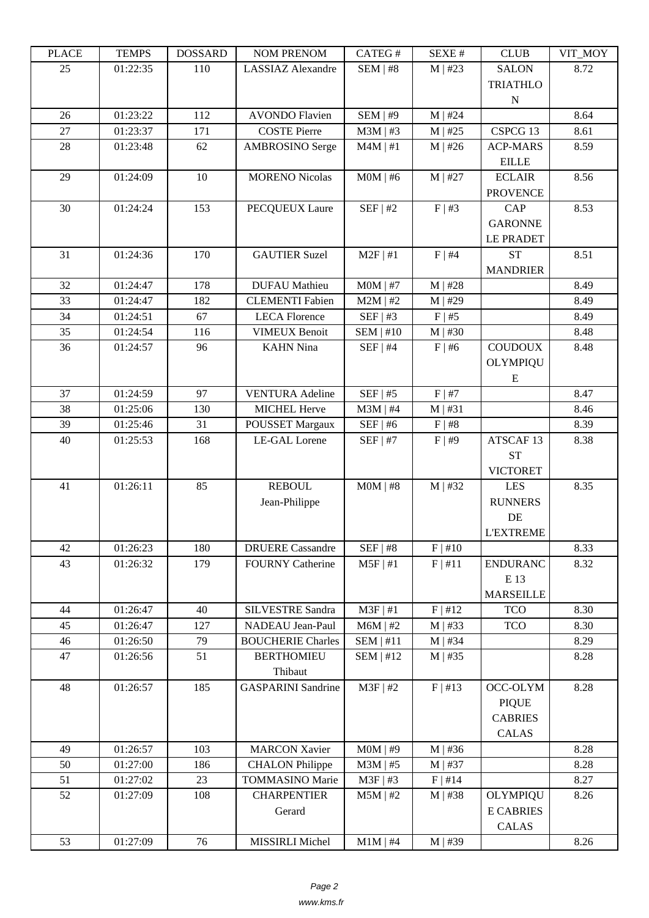| LLAUL | L LIVIII IJ | <u> חשדיממה ח</u> | NUM TNENUM                       | CATLO T       | NL/NL π     | CLUD                 | YII_MUI |
|-------|-------------|-------------------|----------------------------------|---------------|-------------|----------------------|---------|
| 25    | 01:22:35    | 110               | <b>LASSIAZ</b> Alexandre         | $SEM$   #8    | $M$   #23   | <b>SALON</b>         | 8.72    |
|       |             |                   |                                  |               |             | <b>TRIATHLO</b>      |         |
|       |             |                   |                                  |               |             | ${\bf N}$            |         |
| 26    | 01:23:22    | 112               | <b>AVONDO Flavien</b>            | SEM   #9      | $M$   #24   |                      | 8.64    |
| 27    | 01:23:37    | 171               | <b>COSTE Pierre</b>              | $M3M$   #3    | $M$   #25   | CSPCG 13             | 8.61    |
| 28    | 01:23:48    | 62                | <b>AMBROSINO</b> Serge           | $M4M \mid #1$ | $M$   #26   | <b>ACP-MARS</b>      | 8.59    |
|       |             |                   |                                  |               |             | <b>EILLE</b>         |         |
| 29    | 01:24:09    | 10                | <b>MORENO Nicolas</b>            | $MOM$   #6    | $M$   #27   | <b>ECLAIR</b>        | 8.56    |
|       |             |                   |                                  |               |             | <b>PROVENCE</b>      |         |
| 30    | 01:24:24    | 153               | PECQUEUX Laure                   | SEF   #2      | $F \mid #3$ | CAP                  | 8.53    |
|       |             |                   |                                  |               |             | <b>GARONNE</b>       |         |
|       |             |                   |                                  |               |             | <b>LE PRADET</b>     |         |
| 31    | 01:24:36    | 170               | <b>GAUTIER Suzel</b>             | $M2F$   #1    | F   #4      | <b>ST</b>            | 8.51    |
|       |             |                   |                                  |               |             | <b>MANDRIER</b>      |         |
| 32    | 01:24:47    | 178               | <b>DUFAU</b> Mathieu             | $MOM$   #7    | $M$   #28   |                      | 8.49    |
| 33    | 01:24:47    | 182               | <b>CLEMENTI Fabien</b>           | $M2M$   #2    | $M$   #29   |                      | 8.49    |
| 34    | 01:24:51    | 67                | <b>LECA Florence</b>             | SEF   #3      | F   #5      |                      | 8.49    |
| 35    | 01:24:54    | 116               | <b>VIMEUX Benoit</b>             | SEM   #10     | $M$   #30   |                      | 8.48    |
| 36    | 01:24:57    | 96                | <b>KAHN</b> Nina                 | $SEF$   #4    | $F \mid #6$ | <b>COUDOUX</b>       | 8.48    |
|       |             |                   |                                  |               |             | <b>OLYMPIQU</b>      |         |
|       |             |                   |                                  |               |             | E                    |         |
| 37    | 01:24:59    | 97                | <b>VENTURA</b> Adeline           | $SEF$   #5    | F   #7      |                      | 8.47    |
| 38    | 01:25:06    | 130               | <b>MICHEL Herve</b>              | $M3M$   #4    | $M$   #31   |                      | 8.46    |
| 39    | 01:25:46    | 31<br>168         | POUSSET Margaux<br>LE-GAL Lorene | $SEF$   #6    | F   #8      | ATSCAF <sub>13</sub> | 8.39    |
| 40    | 01:25:53    |                   |                                  | $SEF$   #7    | F   #9      | <b>ST</b>            | 8.38    |
|       |             |                   |                                  |               |             | <b>VICTORET</b>      |         |
| 41    | 01:26:11    | 85                | <b>REBOUL</b>                    | $MOM$   #8    | $M$   #32   | <b>LES</b>           | 8.35    |
|       |             |                   | Jean-Philippe                    |               |             | <b>RUNNERS</b>       |         |
|       |             |                   |                                  |               |             | DE                   |         |
|       |             |                   |                                  |               |             | <b>L'EXTREME</b>     |         |
| 42    | 01:26:23    | 180               | <b>DRUERE</b> Cassandre          | $SEF$   #8    | F   #10     |                      | 8.33    |
| 43    | 01:26:32    | 179               | <b>FOURNY Catherine</b>          | $M5F$   #1    | F   #11     | <b>ENDURANC</b>      | 8.32    |
|       |             |                   |                                  |               |             | E 13                 |         |
|       |             |                   |                                  |               |             | <b>MARSEILLE</b>     |         |
| 44    | 01:26:47    | 40                | <b>SILVESTRE Sandra</b>          | $M3F$   #1    | F   #12     | <b>TCO</b>           | 8.30    |
| 45    | 01:26:47    | 127               | NADEAU Jean-Paul                 | $M6M$   #2    | $M$   #33   | <b>TCO</b>           | 8.30    |
| 46    | 01:26:50    | 79                | <b>BOUCHERIE Charles</b>         | SEM   #11     | $M$   #34   |                      | 8.29    |
| 47    | 01:26:56    | 51                | <b>BERTHOMIEU</b>                | SEM   #12     | $M$   #35   |                      | 8.28    |
|       |             |                   | Thibaut                          |               |             |                      |         |
| 48    | 01:26:57    | 185               | <b>GASPARINI</b> Sandrine        | $M3F$   #2    | F   #13     | OCC-OLYM             | 8.28    |
|       |             |                   |                                  |               |             | <b>PIQUE</b>         |         |
|       |             |                   |                                  |               |             | <b>CABRIES</b>       |         |
|       |             |                   |                                  |               |             | <b>CALAS</b>         |         |
| 49    | 01:26:57    | 103               | <b>MARCON Xavier</b>             | $MOM$   #9    | $M$   #36   |                      | 8.28    |
| 50    | 01:27:00    | 186               | <b>CHALON</b> Philippe           | $M3M$   #5    | $M$   #37   |                      | 8.28    |
| 51    | 01:27:02    | 23                | <b>TOMMASINO Marie</b>           | M3F   #3      | $F$   #14   |                      | 8.27    |
| 52    | 01:27:09    | 108               | <b>CHARPENTIER</b>               | $M5M$   #2    | $M$   #38   | <b>OLYMPIQU</b>      | 8.26    |
|       |             |                   | Gerard                           |               |             | <b>E CABRIES</b>     |         |
|       |             |                   |                                  |               |             | <b>CALAS</b>         |         |
| 53    | 01:27:09    | 76                | MISSIRLI Michel                  | $M1M$   #4    | $M$   #39   |                      | 8.26    |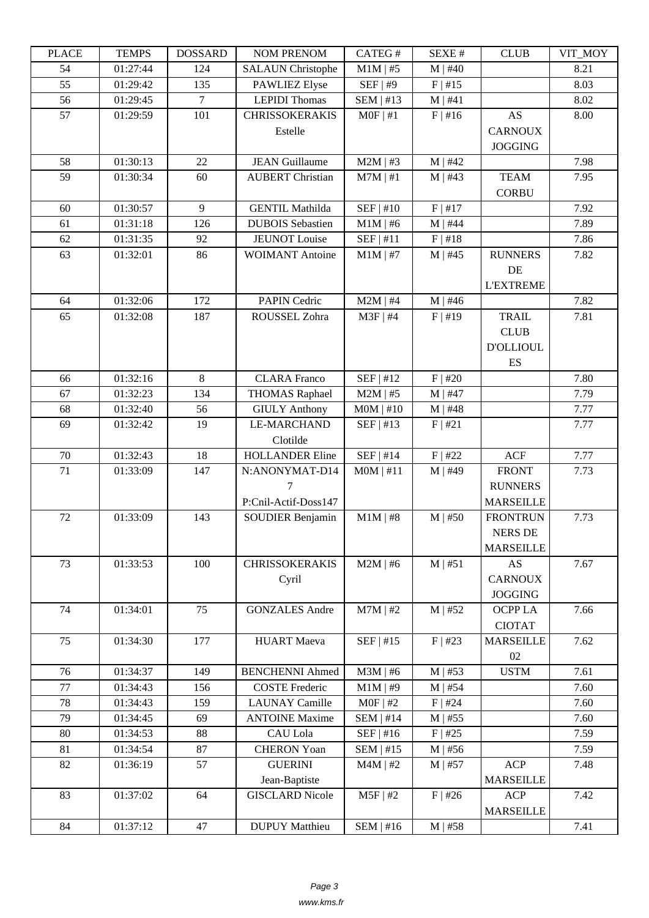| LLAUD  | <u>ר דוגודו</u> | <b>UUUUUUU</b> | <b>NUMERICAY</b>         | CATLO T     | DL/AL π      | CLUD             | VII_NIVI |
|--------|-----------------|----------------|--------------------------|-------------|--------------|------------------|----------|
| 54     | 01:27:44        | 124            | <b>SALAUN Christophe</b> | $M1M$   #5  | $M$   #40    |                  | 8.21     |
| 55     | 01:29:42        | 135            | <b>PAWLIEZ Elyse</b>     | SEF   #9    | $F$   #15    |                  | 8.03     |
| 56     | 01:29:45        | $\overline{7}$ | <b>LEPIDI</b> Thomas     | $SEM$   #13 | M   #41      |                  | 8.02     |
| 57     | 01:29:59        | 101            | <b>CHRISSOKERAKIS</b>    | $MOF$   #1  | F   #16      | AS               | 8.00     |
|        |                 |                | Estelle                  |             |              | <b>CARNOUX</b>   |          |
|        |                 |                |                          |             |              | <b>JOGGING</b>   |          |
| 58     | 01:30:13        | 22             | <b>JEAN Guillaume</b>    | $M2M$   #3  | $M$   #42    |                  | 7.98     |
| 59     | 01:30:34        | 60             | <b>AUBERT Christian</b>  | $M7M$   #1  | $M$   #43    | <b>TEAM</b>      | 7.95     |
|        |                 |                |                          |             |              | <b>CORBU</b>     |          |
| 60     | 01:30:57        | 9              | <b>GENTIL Mathilda</b>   | SEF   #10   | F   #17      |                  | 7.92     |
| 61     | 01:31:18        | 126            | <b>DUBOIS</b> Sebastien  | $M1M$   #6  | $M$   #44    |                  | 7.89     |
| 62     | 01:31:35        | 92             | <b>JEUNOT</b> Louise     | SEF   #11   | F   #18      |                  | 7.86     |
| 63     | 01:32:01        | 86             | <b>WOIMANT Antoine</b>   | $M1M$   #7  | $M$   #45    | <b>RUNNERS</b>   | 7.82     |
|        |                 |                |                          |             |              | DE               |          |
|        |                 |                |                          |             |              | <b>L'EXTREME</b> |          |
| 64     | 01:32:06        | 172            | <b>PAPIN Cedric</b>      | $M2M$   #4  | $M$   #46    |                  | 7.82     |
| 65     | 01:32:08        | 187            | ROUSSEL Zohra            | M3F   #4    | $F$   #19    | <b>TRAIL</b>     | 7.81     |
|        |                 |                |                          |             |              | <b>CLUB</b>      |          |
|        |                 |                |                          |             |              | <b>D'OLLIOUL</b> |          |
|        |                 |                |                          |             |              | ES               |          |
| 66     | 01:32:16        | 8              | <b>CLARA</b> Franco      | SEF   #12   | $F$   #20    |                  | 7.80     |
| 67     | 01:32:23        | 134            | <b>THOMAS Raphael</b>    | $M2M$   #5  | $M$   #47    |                  | 7.79     |
| 68     | 01:32:40        | 56             | <b>GIULY Anthony</b>     | $MOM$   #10 | $M$   #48    |                  | 7.77     |
| 69     | 01:32:42        | 19             | <b>LE-MARCHAND</b>       | SEF   #13   | F   #21      |                  | 7.77     |
|        |                 |                | Clotilde                 |             |              |                  |          |
| 70     | 01:32:43        | 18             | <b>HOLLANDER Eline</b>   | SEF   #14   | $F$   #22    | ACF              | 7.77     |
| 71     | 01:33:09        | 147            | N:ANONYMAT-D14           | MOM   #11   | $M$   #49    | <b>FRONT</b>     | 7.73     |
|        |                 |                | 7                        |             |              | <b>RUNNERS</b>   |          |
|        |                 |                | P:Cnil-Actif-Doss147     |             |              | <b>MARSEILLE</b> |          |
| 72     | 01:33:09        | 143            | <b>SOUDIER Benjamin</b>  | $M1M$   #8  | $M$   #50    | <b>FRONTRUN</b>  | 7.73     |
|        |                 |                |                          |             |              | <b>NERS DE</b>   |          |
|        |                 |                |                          |             |              | <b>MARSEILLE</b> |          |
| 73     | 01:33:53        | 100            | <b>CHRISSOKERAKIS</b>    | $M2M$   #6  | M   #51      | <b>AS</b>        | 7.67     |
|        |                 |                | Cyril                    |             |              | <b>CARNOUX</b>   |          |
|        |                 |                |                          |             |              | <b>JOGGING</b>   |          |
| 74     | 01:34:01        | 75             | <b>GONZALES</b> Andre    | $M7M$   #2  | $M$   #52    | OCPP LA          | 7.66     |
|        |                 |                |                          |             |              | <b>CIOTAT</b>    |          |
| 75     | 01:34:30        | 177            | <b>HUART</b> Maeva       | SEF   #15   | $F$   #23    | <b>MARSEILLE</b> | 7.62     |
|        |                 |                |                          |             |              | 02               |          |
| 76     | 01:34:37        | 149            | <b>BENCHENNI Ahmed</b>   | $M3M$   #6  | $M$   #53    | <b>USTM</b>      | 7.61     |
| 77     | 01:34:43        | 156            | <b>COSTE Frederic</b>    | $M1M$   #9  | $M \mid #54$ |                  | 7.60     |
| 78     | 01:34:43        | 159            | <b>LAUNAY Camille</b>    | $MOF$   #2  | $F$   #24    |                  | 7.60     |
| 79     | 01:34:45        | 69             | <b>ANTOINE Maxime</b>    | $SEM$   #14 | $M$   #55    |                  | 7.60     |
| 80     | 01:34:53        | 88             | CAU Lola                 | $SEF$   #16 | $F$   #25    |                  | 7.59     |
| 81     | 01:34:54        | 87             | <b>CHERON Yoan</b>       | $SEM$   #15 | $M \mid #56$ |                  | 7.59     |
| $82\,$ | 01:36:19        | 57             | <b>GUERINI</b>           | $M4M$   #2  | $M$   #57    | <b>ACP</b>       | 7.48     |
|        |                 |                | Jean-Baptiste            |             |              | <b>MARSEILLE</b> |          |
| 83     | 01:37:02        | 64             | <b>GISCLARD Nicole</b>   | $M5F$   #2  | $F$   #26    | <b>ACP</b>       | 7.42     |
|        |                 |                |                          |             |              | <b>MARSEILLE</b> |          |
| 84     | 01:37:12        | 47             | <b>DUPUY</b> Matthieu    | $SEM$   #16 | $M$   #58    |                  | 7.41     |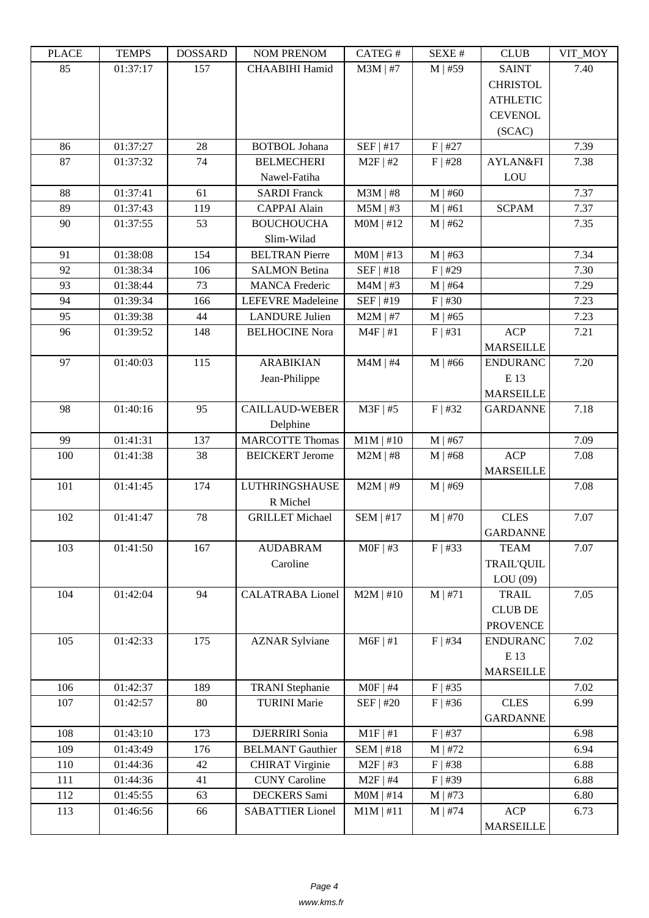| LEUCE | ר TL'IVII | <u> עוזה ממטען</u> | <b>INUMER NETVUM</b>     | CATLO T     | υL/VL π      | CLUD              | VII_MUI |
|-------|-----------|--------------------|--------------------------|-------------|--------------|-------------------|---------|
| 85    | 01:37:17  | 157                | CHAABIHI Hamid           | $M3M$   #7  | $M$   #59    | <b>SAINT</b>      | 7.40    |
|       |           |                    |                          |             |              | <b>CHRISTOL</b>   |         |
|       |           |                    |                          |             |              | <b>ATHLETIC</b>   |         |
|       |           |                    |                          |             |              | <b>CEVENOL</b>    |         |
|       |           |                    |                          |             |              | (SCAC)            |         |
| 86    | 01:37:27  | 28                 | <b>BOTBOL Johana</b>     | SEF   #17   | $F$   #27    |                   | 7.39    |
|       |           | 74                 | <b>BELMECHERI</b>        | $M2F$   #2  |              |                   |         |
| 87    | 01:37:32  |                    |                          |             | $F$   #28    | AYLAN&FI          | 7.38    |
|       |           |                    | Nawel-Fatiha             |             |              | LOU               |         |
| 88    | 01:37:41  | 61                 | <b>SARDI Franck</b>      | $M3M$   #8  | $M$   #60    |                   | 7.37    |
| 89    | 01:37:43  | 119                | <b>CAPPAI Alain</b>      | $M5M$   #3  | M   #61      | <b>SCPAM</b>      | 7.37    |
| 90    | 01:37:55  | 53                 | <b>BOUCHOUCHA</b>        | $MOM$   #12 | $M$   #62    |                   | 7.35    |
|       |           |                    | Slim-Wilad               |             |              |                   |         |
| 91    | 01:38:08  | 154                | <b>BELTRAN</b> Pierre    | $MOM$   #13 | $M$   #63    |                   | 7.34    |
| 92    | 01:38:34  | 106                | <b>SALMON Betina</b>     | SEF   #18   | F   #29      |                   | 7.30    |
| 93    | 01:38:44  | 73                 | <b>MANCA Frederic</b>    | $M4M$   #3  | $M$   #64    |                   | 7.29    |
| 94    | 01:39:34  | 166                | <b>LEFEVRE</b> Madeleine | SEF   #19   | $F$   #30    |                   | 7.23    |
| 95    | 01:39:38  | 44                 | <b>LANDURE Julien</b>    | $M2M$   #7  | $M$   #65    |                   | 7.23    |
| 96    | 01:39:52  | 148                | <b>BELHOCINE Nora</b>    | $M4F$   #1  | F   #31      | <b>ACP</b>        | 7.21    |
|       |           |                    |                          |             |              | <b>MARSEILLE</b>  |         |
| 97    | 01:40:03  | 115                | <b>ARABIKIAN</b>         | $M4M$   #4  | $M$   #66    | <b>ENDURANC</b>   | 7.20    |
|       |           |                    | Jean-Philippe            |             |              | E 13              |         |
|       |           |                    |                          |             |              | <b>MARSEILLE</b>  |         |
|       |           |                    |                          |             |              |                   |         |
| 98    | 01:40:16  | 95                 | <b>CAILLAUD-WEBER</b>    | $M3F$   #5  | $F$   #32    | <b>GARDANNE</b>   | 7.18    |
|       |           |                    | Delphine                 |             |              |                   |         |
| 99    | 01:41:31  | 137                | <b>MARCOTTE Thomas</b>   | $M1M$   #10 | $M$   #67    |                   | 7.09    |
| 100   | 01:41:38  | 38                 | <b>BEICKERT</b> Jerome   | $M2M$   #8  | $M$   #68    | <b>ACP</b>        | 7.08    |
|       |           |                    |                          |             |              | <b>MARSEILLE</b>  |         |
| 101   | 01:41:45  | 174                | <b>LUTHRINGSHAUSE</b>    | $M2M$   #9  | $M$   #69    |                   | 7.08    |
|       |           |                    | R Michel                 |             |              |                   |         |
| 102   | 01:41:47  | 78                 | <b>GRILLET</b> Michael   | $SEM$   #17 | $M$   #70    | <b>CLES</b>       | 7.07    |
|       |           |                    |                          |             |              | <b>GARDANNE</b>   |         |
| 103   | 01:41:50  | 167                | <b>AUDABRAM</b>          | $MOF$   #3  | $F$   #33    | <b>TEAM</b>       | 7.07    |
|       |           |                    | Caroline                 |             |              | <b>TRAIL'QUIL</b> |         |
|       |           |                    |                          |             |              | LOU(09)           |         |
| 104   | 01:42:04  | 94                 | <b>CALATRABA Lionel</b>  | $M2M$   #10 | M   #71      | <b>TRAIL</b>      | 7.05    |
|       |           |                    |                          |             |              | <b>CLUB DE</b>    |         |
|       |           |                    |                          |             |              | <b>PROVENCE</b>   |         |
| 105   | 01:42:33  | 175                | <b>AZNAR Sylviane</b>    | $M6F$   #1  | $F$   #34    | <b>ENDURANC</b>   | 7.02    |
|       |           |                    |                          |             |              | E 13              |         |
|       |           |                    |                          |             |              | <b>MARSEILLE</b>  |         |
|       |           |                    |                          |             |              |                   |         |
| 106   | 01:42:37  | 189                | <b>TRANI</b> Stephanie   | $MOF$   #4  | $F$   #35    |                   | 7.02    |
| 107   | 01:42:57  | 80                 | <b>TURINI Marie</b>      | SEF   #20   | F   #36      | <b>CLES</b>       | 6.99    |
|       |           |                    |                          |             |              | <b>GARDANNE</b>   |         |
| 108   | 01:43:10  | 173                | DJERRIRI Sonia           | $M1F$   #1  | $F$   #37    |                   | 6.98    |
| 109   | 01:43:49  | 176                | <b>BELMANT</b> Gauthier  | SEM   #18   | $M$   #72    |                   | 6.94    |
| 110   | 01:44:36  | 42                 | <b>CHIRAT Virginie</b>   | $M2F$   #3  | $F$   #38    |                   | 6.88    |
| 111   | 01:44:36  | 41                 | <b>CUNY</b> Caroline     | $M2F$   #4  | $F$   #39    |                   | 6.88    |
| 112   | 01:45:55  | 63                 | DECKERS Sami             | $MOM$   #14 | $M$   #73    |                   | 6.80    |
| 113   | 01:46:56  | 66                 | <b>SABATTIER Lionel</b>  | $M1M$   #11 | $M \mid #74$ | <b>ACP</b>        | 6.73    |
|       |           |                    |                          |             |              | <b>MARSEILLE</b>  |         |
|       |           |                    |                          |             |              |                   |         |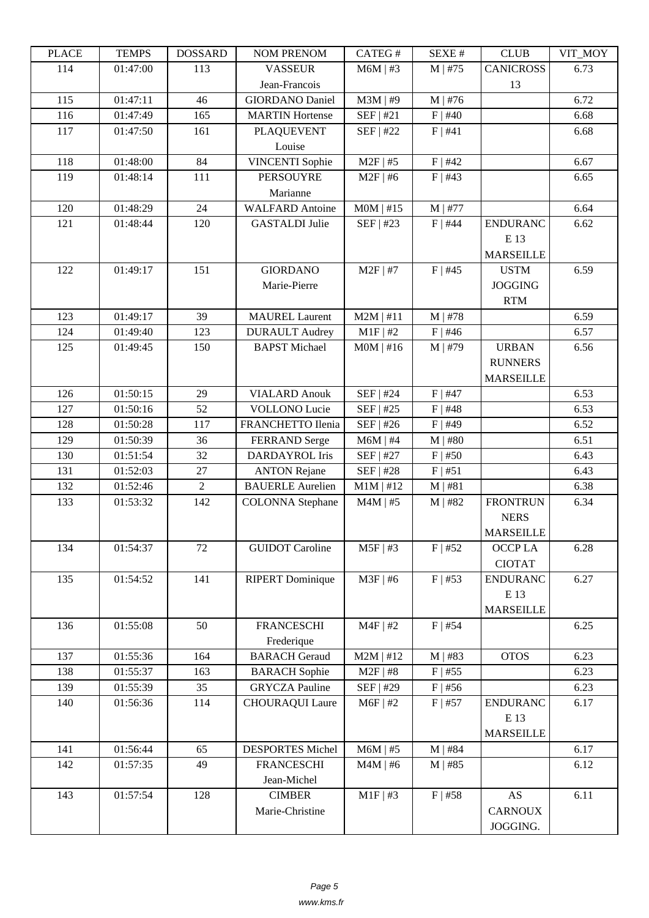| TLAUL | L LIVIII IJ | <b>UUUUUUU</b> | <b>INUMER NETVUM</b>    | <b>CATLOT</b> | DL/AL π      | CLUD             | VII_MUI |
|-------|-------------|----------------|-------------------------|---------------|--------------|------------------|---------|
| 114   | 01:47:00    | 113            | <b>VASSEUR</b>          | $M6M$   #3    | $M$   #75    | <b>CANICROSS</b> | 6.73    |
|       |             |                | Jean-Francois           |               |              | 13               |         |
| 115   | 01:47:11    | 46             | <b>GIORDANO Daniel</b>  | $M3M$   #9    | $M$   #76    |                  | 6.72    |
| 116   | 01:47:49    | 165            | <b>MARTIN</b> Hortense  | SEF   #21     | $F$   #40    |                  | 6.68    |
| 117   | 01:47:50    | 161            | <b>PLAQUEVENT</b>       | SEF   #22     | F   #41      |                  | 6.68    |
|       |             |                | Louise                  |               |              |                  |         |
| 118   | 01:48:00    | 84             | <b>VINCENTI</b> Sophie  | $M2F$   #5    | $F$   #42    |                  | 6.67    |
| 119   | 01:48:14    | 111            | <b>PERSOUYRE</b>        | $M2F$   #6    | $F$   #43    |                  | 6.65    |
|       |             |                | Marianne                |               |              |                  |         |
| 120   | 01:48:29    | 24             | <b>WALFARD Antoine</b>  | $MOM$   #15   | $M$   #77    |                  | 6.64    |
| 121   | 01:48:44    | 120            | <b>GASTALDI</b> Julie   | SEF   #23     | $F$   #44    | <b>ENDURANC</b>  | 6.62    |
|       |             |                |                         |               |              | E 13             |         |
|       |             |                |                         |               |              | <b>MARSEILLE</b> |         |
| 122   | 01:49:17    | 151            | <b>GIORDANO</b>         | $M2F$   #7    | $F$   #45    | <b>USTM</b>      | 6.59    |
|       |             |                | Marie-Pierre            |               |              | <b>JOGGING</b>   |         |
|       |             |                |                         |               |              |                  |         |
|       |             |                |                         |               |              | <b>RTM</b>       |         |
| 123   | 01:49:17    | 39             | <b>MAUREL Laurent</b>   | $M2M$   #11   | $M$   #78    |                  | 6.59    |
| 124   | 01:49:40    | 123            | <b>DURAULT</b> Audrey   | $M1F$   #2    | $F$   #46    |                  | 6.57    |
| 125   | 01:49:45    | 150            | <b>BAPST</b> Michael    | $MOM$   #16   | $M \mid #79$ | <b>URBAN</b>     | 6.56    |
|       |             |                |                         |               |              | <b>RUNNERS</b>   |         |
|       |             |                |                         |               |              | <b>MARSEILLE</b> |         |
| 126   | 01:50:15    | 29             | <b>VIALARD Anouk</b>    | SEF   #24     | $F$   #47    |                  | 6.53    |
| 127   | 01:50:16    | 52             | <b>VOLLONO</b> Lucie    | SEF   #25     | $F$   #48    |                  | 6.53    |
| 128   | 01:50:28    | 117            | FRANCHETTO Ilenia       | SEF   #26     | $F$   #49    |                  | 6.52    |
| 129   | 01:50:39    | 36             | <b>FERRAND</b> Serge    | $M6M$   #4    | $M$   #80    |                  | 6.51    |
| 130   | 01:51:54    | 32             | DARDAYROL Iris          | SEF   #27     | $F$   #50    |                  | 6.43    |
| 131   | 01:52:03    | 27             | <b>ANTON Rejane</b>     | SEF   #28     | F   #51      |                  | 6.43    |
| 132   | 01:52:46    | $\overline{2}$ | <b>BAUERLE Aurelien</b> | $M1M$   #12   | M   #81      |                  | 6.38    |
| 133   | 01:53:32    | 142            | <b>COLONNA</b> Stephane | $M4M$   #5    | $M$   #82    | <b>FRONTRUN</b>  | 6.34    |
|       |             |                |                         |               |              | <b>NERS</b>      |         |
|       |             |                |                         |               |              | <b>MARSEILLE</b> |         |
| 134   | 01:54:37    | 72             | <b>GUIDOT</b> Caroline  | $M5F$   #3    | F   #52      | OCCP LA          | 6.28    |
|       |             |                |                         |               |              | <b>CIOTAT</b>    |         |
| 135   | 01:54:52    | 141            | <b>RIPERT Dominique</b> | $M3F$   #6    | $F$   #53    | <b>ENDURANC</b>  | 6.27    |
|       |             |                |                         |               |              | E 13             |         |
|       |             |                |                         |               |              | <b>MARSEILLE</b> |         |
| 136   | 01:55:08    | 50             | <b>FRANCESCHI</b>       | $M4F$   #2    | $F$   #54    |                  | 6.25    |
|       |             |                | Frederique              |               |              |                  |         |
| 137   | 01:55:36    | 164            | <b>BARACH Geraud</b>    | $M2M$   #12   | $M$   #83    | <b>OTOS</b>      | 6.23    |
| 138   | 01:55:37    | 163            | <b>BARACH</b> Sophie    | $M2F$   #8    | $F$   #55    |                  | 6.23    |
| 139   | 01:55:39    | 35             | <b>GRYCZA Pauline</b>   | SEF   #29     | $F$ #56      |                  | 6.23    |
| 140   | 01:56:36    | 114            | <b>CHOURAQUI Laure</b>  | $M6F$   #2    | $F$   #57    | <b>ENDURANC</b>  | 6.17    |
|       |             |                |                         |               |              | E 13             |         |
|       |             |                |                         |               |              | <b>MARSEILLE</b> |         |
| 141   | 01:56:44    | 65             | <b>DESPORTES Michel</b> | $M6M$   #5    | $M$   #84    |                  | 6.17    |
| 142   | 01:57:35    | 49             | <b>FRANCESCHI</b>       | $M4M$   #6    | $M$   #85    |                  | 6.12    |
|       |             |                | Jean-Michel             |               |              |                  |         |
| 143   | 01:57:54    | 128            | <b>CIMBER</b>           | $M1F$ #3      | $F$   #58    | AS               | 6.11    |
|       |             |                | Marie-Christine         |               |              | <b>CARNOUX</b>   |         |
|       |             |                |                         |               |              |                  |         |
|       |             |                |                         |               |              | JOGGING.         |         |